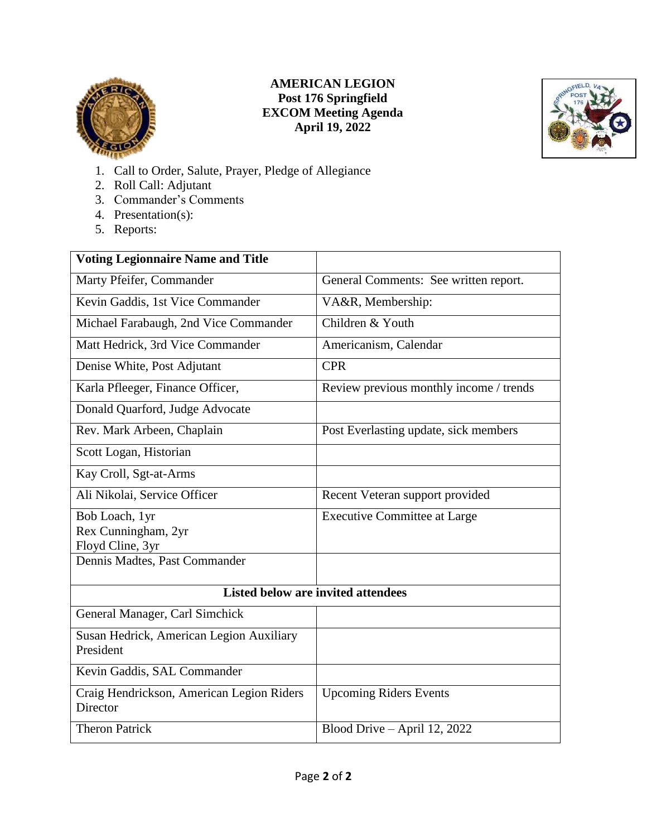

## **AMERICAN LEGION Post 176 Springfield EXCOM Meeting Agenda April 19, 2022**



- 1. Call to Order, Salute, Prayer, Pledge of Allegiance
- 2. Roll Call: Adjutant
- 3. Commander's Comments
- 4. Presentation(s):
- 5. Reports:

| <b>Voting Legionnaire Name and Title</b>              |                                         |
|-------------------------------------------------------|-----------------------------------------|
| Marty Pfeifer, Commander                              | General Comments: See written report.   |
| Kevin Gaddis, 1st Vice Commander                      | VA&R, Membership:                       |
| Michael Farabaugh, 2nd Vice Commander                 | Children & Youth                        |
| Matt Hedrick, 3rd Vice Commander                      | Americanism, Calendar                   |
| Denise White, Post Adjutant                           | <b>CPR</b>                              |
| Karla Pfleeger, Finance Officer,                      | Review previous monthly income / trends |
| Donald Quarford, Judge Advocate                       |                                         |
| Rev. Mark Arbeen, Chaplain                            | Post Everlasting update, sick members   |
| Scott Logan, Historian                                |                                         |
| Kay Croll, Sgt-at-Arms                                |                                         |
| Ali Nikolai, Service Officer                          | Recent Veteran support provided         |
| Bob Loach, 1yr                                        | <b>Executive Committee at Large</b>     |
| Rex Cunningham, 2yr                                   |                                         |
| Floyd Cline, 3yr                                      |                                         |
| Dennis Madtes, Past Commander                         |                                         |
| Listed below are invited attendees                    |                                         |
| General Manager, Carl Simchick                        |                                         |
| Susan Hedrick, American Legion Auxiliary<br>President |                                         |
|                                                       |                                         |
| Kevin Gaddis, SAL Commander                           |                                         |
| Craig Hendrickson, American Legion Riders<br>Director | <b>Upcoming Riders Events</b>           |
| <b>Theron Patrick</b>                                 | Blood Drive - April 12, 2022            |